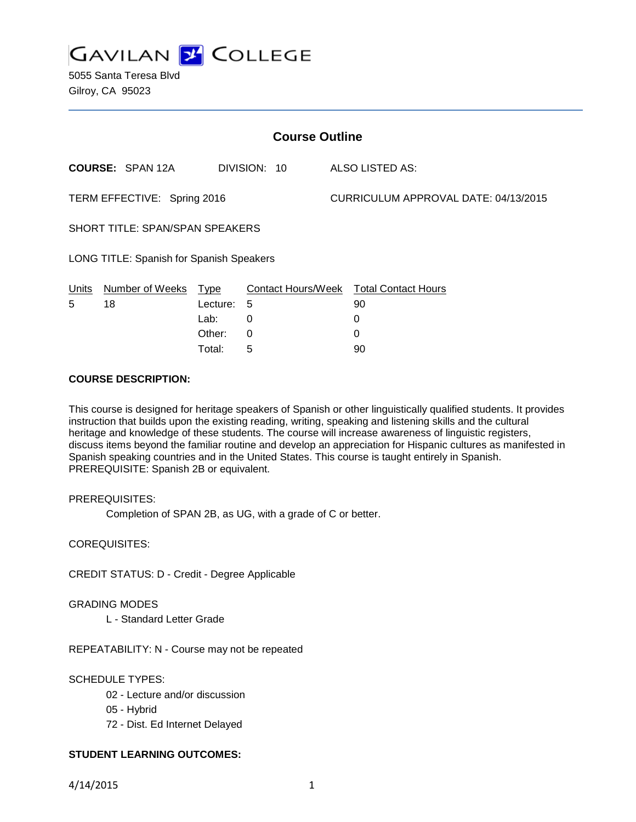

5055 Santa Teresa Blvd Gilroy, CA 95023

| <b>Course Outline</b>                    |                         |          |                           |  |                                      |  |
|------------------------------------------|-------------------------|----------|---------------------------|--|--------------------------------------|--|
|                                          | <b>COURSE: SPAN 12A</b> |          | DIVISION: 10              |  | ALSO LISTED AS:                      |  |
| TERM EFFECTIVE: Spring 2016              |                         |          |                           |  | CURRICULUM APPROVAL DATE: 04/13/2015 |  |
| <b>SHORT TITLE: SPAN/SPAN SPEAKERS</b>   |                         |          |                           |  |                                      |  |
| LONG TITLE: Spanish for Spanish Speakers |                         |          |                           |  |                                      |  |
| Units                                    | Number of Weeks         | Type     | <b>Contact Hours/Week</b> |  | <b>Total Contact Hours</b>           |  |
| 5                                        | 18                      | Lecture: | 5                         |  | 90                                   |  |
|                                          |                         | Lab:     | 0                         |  | 0                                    |  |
|                                          |                         | Other:   | 0                         |  | 0                                    |  |

Total: 5 90

## **COURSE DESCRIPTION:**

This course is designed for heritage speakers of Spanish or other linguistically qualified students. It provides instruction that builds upon the existing reading, writing, speaking and listening skills and the cultural heritage and knowledge of these students. The course will increase awareness of linguistic registers, discuss items beyond the familiar routine and develop an appreciation for Hispanic cultures as manifested in Spanish speaking countries and in the United States. This course is taught entirely in Spanish. PREREQUISITE: Spanish 2B or equivalent.

## PREREQUISITES:

Completion of SPAN 2B, as UG, with a grade of C or better.

COREQUISITES:

CREDIT STATUS: D - Credit - Degree Applicable

## GRADING MODES

L - Standard Letter Grade

REPEATABILITY: N - Course may not be repeated

## SCHEDULE TYPES:

- 02 Lecture and/or discussion
- 05 Hybrid
- 72 Dist. Ed Internet Delayed

## **STUDENT LEARNING OUTCOMES:**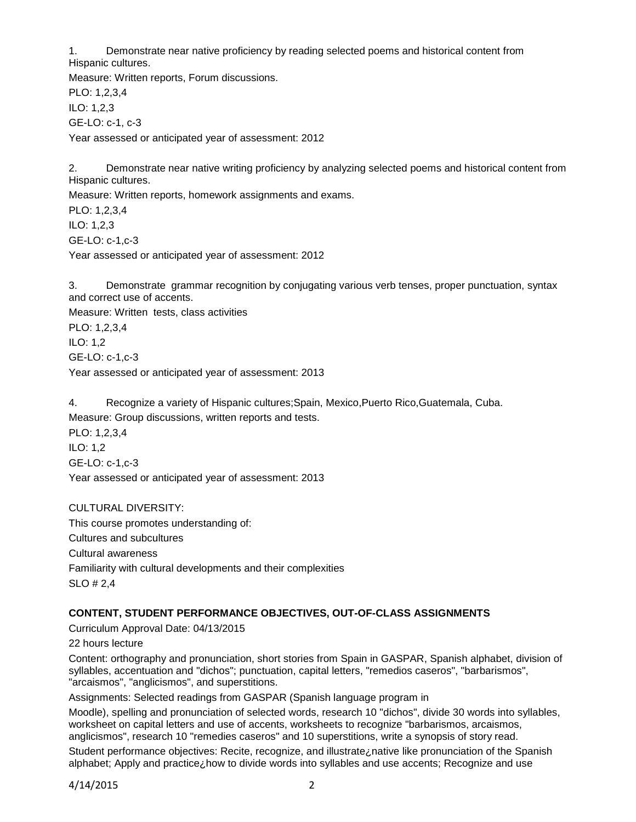1. Demonstrate near native proficiency by reading selected poems and historical content from Hispanic cultures.

Measure: Written reports, Forum discussions. PLO: 1,2,3,4 ILO: 1,2,3 GE-LO: c-1, c-3 Year assessed or anticipated year of assessment: 2012

2. Demonstrate near native writing proficiency by analyzing selected poems and historical content from Hispanic cultures.

Measure: Written reports, homework assignments and exams.

PLO: 1,2,3,4 ILO: 1,2,3 GE-LO: c-1,c-3 Year assessed or anticipated year of assessment: 2012

3. Demonstrate grammar recognition by conjugating various verb tenses, proper punctuation, syntax and correct use of accents.

Measure: Written tests, class activities PLO: 1,2,3,4 ILO: 1,2 GE-LO: c-1,c-3 Year assessed or anticipated year of assessment: 2013

4. Recognize a variety of Hispanic cultures;Spain, Mexico,Puerto Rico,Guatemala, Cuba. Measure: Group discussions, written reports and tests. PLO: 1,2,3,4 ILO: 1,2

GE-LO: c-1,c-3 Year assessed or anticipated year of assessment: 2013

CULTURAL DIVERSITY: This course promotes understanding of: Cultures and subcultures Cultural awareness Familiarity with cultural developments and their complexities SLO # 2,4

# **CONTENT, STUDENT PERFORMANCE OBJECTIVES, OUT-OF-CLASS ASSIGNMENTS**

Curriculum Approval Date: 04/13/2015

22 hours lecture

Content: orthography and pronunciation, short stories from Spain in GASPAR, Spanish alphabet, division of syllables, accentuation and "dichos"; punctuation, capital letters, "remedios caseros", "barbarismos", "arcaismos", "anglicismos", and superstitions.

Assignments: Selected readings from GASPAR (Spanish language program in

Moodle), spelling and pronunciation of selected words, research 10 "dichos", divide 30 words into syllables, worksheet on capital letters and use of accents, worksheets to recognize "barbarismos, arcaismos, anglicismos", research 10 "remedies caseros" and 10 superstitions, write a synopsis of story read.

Student performance objectives: Recite, recognize, and illustrate¿native like pronunciation of the Spanish alphabet; Apply and practice; how to divide words into syllables and use accents; Recognize and use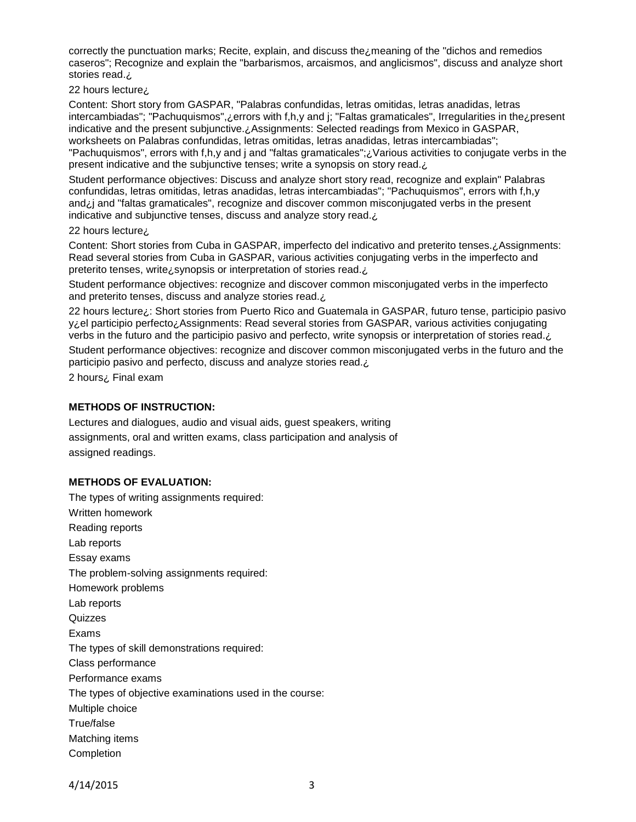correctly the punctuation marks; Recite, explain, and discuss the¿meaning of the "dichos and remedios caseros"; Recognize and explain the "barbarismos, arcaismos, and anglicismos", discuss and analyze short stories read.¿

22 hours lecture¿

Content: Short story from GASPAR, "Palabras confundidas, letras omitidas, letras anadidas, letras intercambiadas"; "Pachuquismos",¿errors with f,h,y and j; "Faltas gramaticales", Irregularities in the¿present indicative and the present subjunctive. ¿Assignments: Selected readings from Mexico in GASPAR, worksheets on Palabras confundidas, letras omitidas, letras anadidas, letras intercambiadas"; "Pachuquismos", errors with f,h,y and j and "faltas gramaticales";¿Various activities to conjugate verbs in the present indicative and the subjunctive tenses; write a synopsis on story read.¿

Student performance objectives: Discuss and analyze short story read, recognize and explain" Palabras confundidas, letras omitidas, letras anadidas, letras intercambiadas"; "Pachuquismos", errors with f,h,y and¿j and "faltas gramaticales", recognize and discover common misconjugated verbs in the present indicative and subjunctive tenses, discuss and analyze story read.¿

#### 22 hours lecture¿

Content: Short stories from Cuba in GASPAR, imperfecto del indicativo and preterito tenses.¿Assignments: Read several stories from Cuba in GASPAR, various activities conjugating verbs in the imperfecto and preterito tenses, write¿synopsis or interpretation of stories read.¿

Student performance objectives: recognize and discover common misconjugated verbs in the imperfecto and preterito tenses, discuss and analyze stories read. ¿

22 hours lecture¿: Short stories from Puerto Rico and Guatemala in GASPAR, futuro tense, participio pasivo y¿el participio perfecto¿Assignments: Read several stories from GASPAR, various activities conjugating verbs in the futuro and the participio pasivo and perfecto, write synopsis or interpretation of stories read.¿

Student performance objectives: recognize and discover common misconjugated verbs in the futuro and the participio pasivo and perfecto, discuss and analyze stories read.¿

2 hours¿ Final exam

## **METHODS OF INSTRUCTION:**

Lectures and dialogues, audio and visual aids, guest speakers, writing assignments, oral and written exams, class participation and analysis of assigned readings.

## **METHODS OF EVALUATION:**

The types of writing assignments required: Written homework Reading reports Lab reports Essay exams The problem-solving assignments required: Homework problems Lab reports Quizzes Exams The types of skill demonstrations required: Class performance Performance exams The types of objective examinations used in the course: Multiple choice True/false Matching items Completion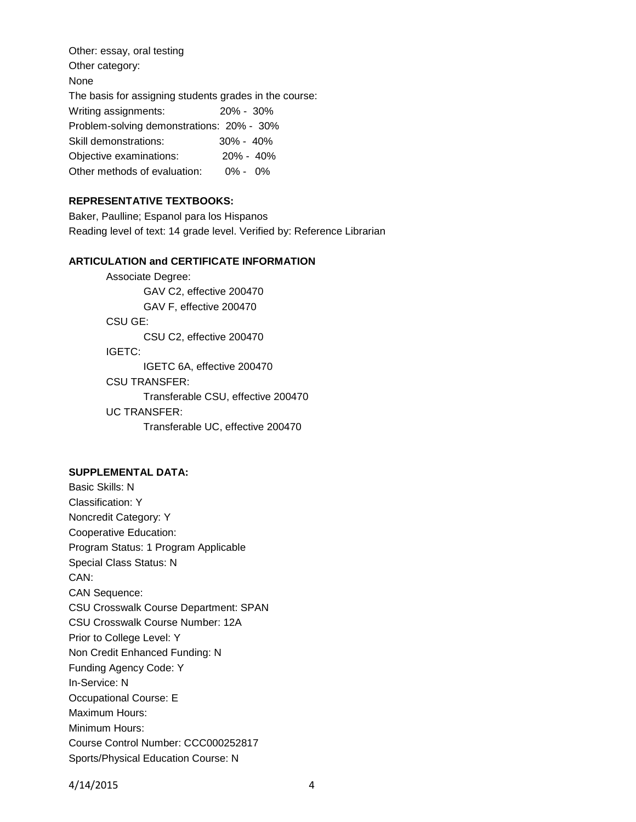Other: essay, oral testing Other category: None The basis for assigning students grades in the course: Writing assignments: 20% - 30% Problem-solving demonstrations: 20% - 30% Skill demonstrations: 30% - 40% Objective examinations: 20% - 40% Other methods of evaluation: 0% - 0%

## **REPRESENTATIVE TEXTBOOKS:**

Baker, Paulline; Espanol para los Hispanos Reading level of text: 14 grade level. Verified by: Reference Librarian

## **ARTICULATION and CERTIFICATE INFORMATION**

Associate Degree: GAV C2, effective 200470 GAV F, effective 200470 CSU GE: CSU C2, effective 200470 IGETC: IGETC 6A, effective 200470 CSU TRANSFER: Transferable CSU, effective 200470 UC TRANSFER:

Transferable UC, effective 200470

## **SUPPLEMENTAL DATA:**

Basic Skills: N Classification: Y Noncredit Category: Y Cooperative Education: Program Status: 1 Program Applicable Special Class Status: N CAN: CAN Sequence: CSU Crosswalk Course Department: SPAN CSU Crosswalk Course Number: 12A Prior to College Level: Y Non Credit Enhanced Funding: N Funding Agency Code: Y In-Service: N Occupational Course: E Maximum Hours: Minimum Hours: Course Control Number: CCC000252817 Sports/Physical Education Course: N

4/14/2015 4